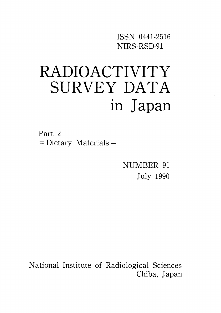ISSN O441-2516 NIRS-RSD-91

# RADIOACTIVITY SURVEY DATA in Japan

Part 2  $=$ Dietary Materials $=$ 

> NUMBER 91 July 1990

National Institute of Radiological Sciences Chiba, Japan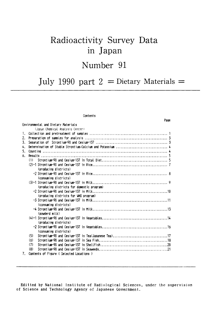## Radioactivity Survey Data in Japan

### Number 91

### July 1990 part  $2 =$  Dietary Materials =

Page

#### Contents

|    | Environmental and Dietary Materials        |
|----|--------------------------------------------|
|    | (Japan Chemical Analysis Center)           |
|    |                                            |
| 2. |                                            |
| 3. |                                            |
| 4. |                                            |
| 5. |                                            |
| 6. |                                            |
|    | (1)                                        |
|    |                                            |
|    | (producing districts)                      |
|    |                                            |
|    | (consuming districts)                      |
|    |                                            |
|    | (producing districts for domestic program) |
|    |                                            |
|    | (producing districts for WHO program)      |
|    |                                            |
|    | (consuming districts)                      |
|    |                                            |
|    | (powderd milk)                             |
|    |                                            |
|    | (producing districts)                      |
|    |                                            |
|    | (consuming districts)                      |
|    | (5)                                        |
|    | (6)                                        |
|    | (7)                                        |
|    | (8)                                        |
| 7. | Contents of Figure (Selected Locations)    |

Editted by National Institute of Radiological Sciences, under the supervision of Science and Technology Agency of Japanese Government.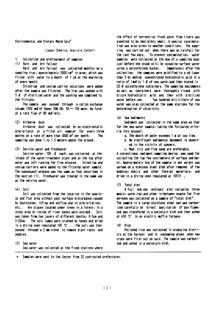Environmental and Dietary Materials\*

(Japan Chemical Analysis Center)

 $1 -$ Collection and pretreatment of samples

(1) Rain and dry fallout

Rain and dry fallout was collected monthly on a sampling tray, approximately 5000 cm<sup>2</sup> in area, which was filled with water to a depth of 1 cm at the beginning of every month.

Strontium and cesium carrier solutions were added after the sample was filtered. The tray was washed with 5  $\ell$  of distilled water and the washing was combined to the filtrate.

The sample was passed through a cation exchange column (500 md of Dowex 50W X8, 50  $\sim$  100 mesh, Na form) at a rate flow of 80 ml/min.

(2) Airborne dust

Airborne dust was collected by an electrostatic precipitator or a filter air sampler for every three months at a rate of more than  $3000 \text{ m}^3$  per month. The sampling was done 1 to 1.5 meters above the ground.

(3) Service water and freshwater

Service water, 100  $\ell$  each, was collected at the intake of the water-treatment plant and at the tap after water was left running for five minutes. Strontium and cesium carriers were added to the filtered water sample. The subsequent process was the same as that described in the section (1). Freshwater was treated in the same way as the service water.

#### $(4)$  Soil

Soil was collected from the location in the spacious and flat area without past surface disturbance caused by duststorms, inflow and outflow due to precipitation, etc.. Any places located under trees in a forest, in a stony area or inside of river banks were avoided. Soil was taken from two layers of different depths, 0-5cm and 5-20cm. The soil lumps were crushed by hands and dried in a drying oven regulated 105  $\mathbb{C}$ . The soil was then passed through a 2 mm sieve to remove plant roots and pebbles.

(5) Sea vater Sea water was collected at the fixed stations where the effect of terrestrial fresh water from rivers was expected to be negligibly small. A special consideration was also given to weather conditions. The samp-Ling was carried out when there was no rainfall for the last fey days. To prevent contamination, water samples were collected at the bow of a sampling boat just before she stood still by scooping surface water using a polyethylene bucket. Immediately after the collection, the samples were acidified to a pH lower than 3 by adding concentrated hydrochtoric acid in a ratio of  $1 \text{ m} \ell$  to  $1 \ell$  of sea water, and then stored in 20  $\ell$  polyethylene containers. The sampling equipments as well as containers were thoroughly rinsed with dilute hydrochloric acid and then with distilled Two hundred milliliters of sea vater before use. water was also collected at the same stations for the determination of chlorinity.

 $(6)$  Sea sediments

Sediment was collected in the same area as that for the sea water sample, taking the following criteria into account:

- a. The depth of vater exceeds 1 m at low tide.
- b. No significant sedimental movement is observed in the vicinity of concern.
- c. Mud, silt and fine sand are preferable.

A conventional sediment sampling device was used for collecting the too few centimeters of surface sediment. Approximately 4kg of the sample in wet weight was spread on a stenless steel dish after removed of the pebbles, shells and other foreign materials, and dried in a drying oven regulated at  $105^\circ \text{C}$ .

(7) Total diet

A full one day ordinary diet including three meals, water, tea and other in-between snacks for five persons was collected as a sample of "total diet" The sample in a large stainless steel pan was carbonized carefully by direct application of gas flame, and was transfered to a porcelain dish and then ashed at 450 °C in an electric muffle furnace.

 $(8)$  Rice

Polished rice was collected in producing districts at the harvest and in consuming areas when new crops were first put on sale. The sample was carbonized and ashed in a porcelain dish.

Samples were sent to the Center from 32 contracted prefectures.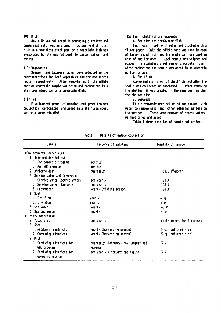#### $(9)$  Milk

Raw milk was collected in producing districts and commercial milk was purchased in consuming districts. Milk in a stainless steel pan or a porcelain dish was evaporated to dryness followed by carbonization and ashing.

#### (10) Vegetables

Spinach and Japanese radish were selected as the representatives for leaf vegetables and for non-starch roots, respectively. After removing soil, the edible part of vegetable sample was dried and carbonized in a stainless steel pan or a porcelain dish.

#### $(11)$  Tea

Five hundred grams of manufactured green tea was collected, carbonized and ashed in a stainless steel pan or a porcelain dish.

#### (12) Fish, shellfish and seaveeds

a. Sea fish and freshwater fish

Fish was rinsed with water and blotted with a filter paper. Only the edible part was used in case of larger sized fish, and the whole part was used in case of smaller ones. Each sample was weighed and placed in a stainless steel pan or a porcelain dish. After carbonized, the sample was ashed in an electric muffle furnace.

#### b. Shellfish

Approximately 4 kg of shellfish including the shells was collected or purchased. After removing the shells, it was treated in the same way as that for the sea fish.

#### c. Seaveeds

Edible seaweeds were collected and rinsed with water to remove sand and other adhering matters on the surface. These were removed of excess vater, weighed dried and ashed.

Table 1 shows detailes of sample collection.

| Sample                           | Frequency of sampling                | Quantity of sample            |
|----------------------------------|--------------------------------------|-------------------------------|
| =Environmental materials=        |                                      |                               |
| (1) Rain and dry fallout         |                                      |                               |
| 1. For domestic program          | monthly                              |                               |
| 2. For WHO program               | monthly                              |                               |
| (2) Airborne dust                | quarterly                            | $>3000$ m <sup>3</sup> /month |
| (3) Service water and freshwater |                                      |                               |
| 1. Service vater (source vater)  | semiyearly                           | 100 $\ell$                    |
| 2. Service water (tap water)     | semiyearly                           | 100 $\ell$                    |
| 3. Freshwater                    | yearly (fishing season)              | 100 $\rho$                    |
| $(4)$ Soil                       |                                      |                               |
| 1. $0 \sim 5$ cm                 | yearly                               | 4 kg                          |
| 2. $5 - 20$ cm                   | yearly                               | 4 kg                          |
| $(5)$ Sea vater                  | yearly                               | 40Q                           |
| (6) Sea sediments                | yearly                               | 4 kg                          |
| $=$ Dietary materials $=$        |                                      |                               |
| (7) Total diet                   | semiyearly                           | daily amount for 5 persons    |
| $(8)$ Rice                       |                                      |                               |
| 1. Producing districts           | yearly (harvesting season)           | 5 kg (polished rice)          |
| 2. Consuming districts           | yearly (harvesting season)           | 5 kg (polished rice)          |
| $(9)$ Milk                       |                                      |                               |
| 1. Producing districts for       | quarterly (February, May, August and | 3Q                            |
| WHO program                      | November)                            |                               |
| 2. Producing districts for       | semiyearly (February and August)     | 3 Q                           |
| domestic program                 |                                      |                               |

Table 1 Details of sample collection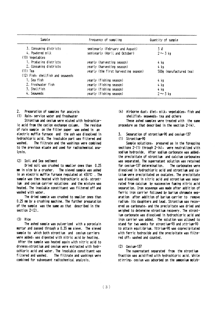| Sample                            | Frequency of sampling                | Quantity of sample      |  |  |
|-----------------------------------|--------------------------------------|-------------------------|--|--|
| 3. Consuming districts            | semiyearly (February and August)     | 3 Q                     |  |  |
| 4. Powdered milk                  | semiyearly (April and October)       | $2 \sim 3$ kg           |  |  |
| (10) Vegetables                   |                                      |                         |  |  |
| 1. Producing districts            | yearly (harvesting season)           | 4 kg                    |  |  |
| 2. Consuming districts            | yearly (harvesting season)           | 4 kg                    |  |  |
| $(11)$ Tea                        | yearly (the first harvesting season) | 500g (manufactured tea) |  |  |
| (12) Fish, shellfish and seaweeds |                                      |                         |  |  |
| 1. Sea fish                       | yearly (fishing season)              | 4 kg                    |  |  |
| 2. Freshvater fish                | yearly (fishing season)              | $4$ $kg$                |  |  |
| 3. Shellfish                      | yearly (fishing season)              | $4$ kg                  |  |  |
| 4. Seaveeds                       | yearly (fishing season)              | $2 \sim 3$ kg           |  |  |

- $2.$ Preparation of samples for analysis
- (1) Rain, service water and freshwater

Strontium and cesium were eluted with hydrochloric acid from the cation exchange column. The residue of rain sample on the filter paper was ashed in an electric muffle furnace and the ash was dissolved in hydrochloric acid. The insoluble part was filtered and uashed The filtrate and the vashings vere combined to the previous eluate and used for radiochemical ana-Lysis.

#### (2) Soil and Sea sediment

Dried soil was crushed to smaller ones than 0.25 mm in size by a crusher. The sieved sample was ashed in an electric muffle furnace regulated at  $450^{\circ}$ . The sample was then heated with hydrochloric acid, strontium and cesium carrier solutions and the mixture was heated. The insoluble constituent was filtered off and washed with water.

The dried sample was crushed to smaller ones than 0.25 mm by a crushing machine. The further preparation of the sample was the same as that described in the section  $2-(2)$ .

#### $(3)$  Rice

The ashed sample was pulverized with a porcelain mortar and passed through a 0.35 mm sieve. The sieved sample to which both strontium and cesium carriers were added, was digested with nitric acid by heating. After the sample was heated again with nitric acid to dryness, strontium and cesium were extracted with hydrochloric acid and water. The insoluble constituent was filtered and washed. The filtrate and vashings were combined for subsequent radiochemical analysis.

(4) Airborne dust, diet, milk, vegetables, fish and shellfish, seaveeds, tea and others

These ashed samples were treated with the same procedure as that described in the section  $2-(4)$ .

Separation of strontium-90 and cesium-137 3.

#### (1) Strontium-90

Sample solutions, prepared as in the foregoing sections  $2-(1)$  through  $2-(4)$ , were neutralized with sodium hydroxide. After sodium carbonate vas added, the precipitate of strontium and calcium carbonates was separated. The supernatant solution was retained for cesium-137 determination. The carbonates vere dissolved in hydrochloric acid and strontium and catoium were precipitated as oxalates. The precipitate was dissolved in nitric acid and strontium was separated from calcium by successive fuming nitric acid separation. Iron scavenge was made after addition of ferric iron carrier followed by barium chromate separation after addition of barium carrier to remove radium, its daughters and lead. Strontium was recovered as carbonate, and the precipitate was dried and weighed to determine strontium recovery. The strontium carbonate was dissolved in hydrochloric acid and iron carrier was added. The solution was allowed to stand for two weeks for strontium-90 and yttrium-90 to attain equilibrium. Yttrium-90 was coprecipitated with ferric hydroxide and the precipitate was filtered off, washed and counted.

 $(2)$  Cesium-137

The supernatant separated from the strontium fraction was acidified with hydrochloric acid. While stirring, cesium was adsorbed on the ammonium molyb-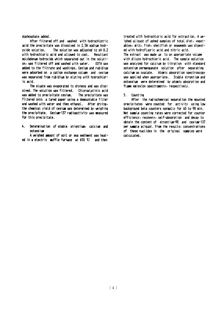#### dophosphate added.

After filtered off and vashed with hydrochlotric acid the precipitate was dissolved in 2.5N sodium hydroxide solution. The solution was adjusted to pH 8.2 with hydrochloric acid and allowed to cool. Resultant molybdenum hydroxide which separated out in the solution, was filtered off and washed with water. EDTA was added to the filtrate and washings. Cesium and rubidium were adsorbed on a cation exchange column and cesium was separated from rubidium by eluting with hydrochloric acid.

The eluate was evaporated to dryness and was dissolved. The solution was filtered. Chloroplatinic acid was added to precipitate cesium. The precipitate was filtered onto a tared paper using a demountable filter and washed with water and then ethanol. After drying, the chemical yield of cesium was determined by weighing the precipitate. Cesium-137 radioactivity was measured for this precipitate.

4. Determination of stable strontium, calcium and potassium

A weighed amount of soil or sea sediment was heated in a electric muffle furnace at  $450 \text{ C}$  and then

treated with hydrochloric acid for extraction. A weighed aliquot of ashed samples of total diet, yegetables, milk, fish, shellfish or seaweeds was digested with hydrofluoric acid and nitric acid. The extract was made up to an appropriate volume with dilute hydrochloric acid. The sample solution was analyzed for calcium by titration with standard potassium permanganate solution after separating calcium as oxalate. Atomic absorption spectroscopy was applied when appropriate. Stable strontium and potassium were determined by atomic absorption and flame emission spectrometry, respectively,

#### $5.$ Count ing

After the radiochemical separation the mounted precipitates were counted for activity using low background beta counters normally for 60 to 90 min. Net sample counting rates were corrected for counter efficiency, recovery, self-absorption and decay to obtain the content of strontium-90 and cesium-137 per sample aliquot. From the results, concentrations of these nuclides in the original samples were calculated.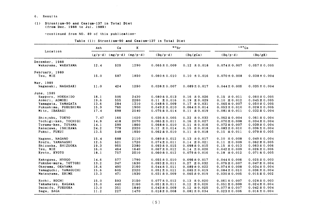#### 6. Results

#### (1) Strontiun-90 &nd Ce8ium-137in Total Diet (from Dee.1988 to Jul.1989)

-continued from NO. 89 of this publication-

#### Table (1): Strontium-90 and Cesium-137 in Total Diet

|                                                                                                         | Ash                                  | Ca                                | $\mathbf{K}$                         | $\bullet \circ$ Sr                                                                                    |                                                                                                      | 137C5                                                                                                 |                                                                                                       |
|---------------------------------------------------------------------------------------------------------|--------------------------------------|-----------------------------------|--------------------------------------|-------------------------------------------------------------------------------------------------------|------------------------------------------------------------------------------------------------------|-------------------------------------------------------------------------------------------------------|-------------------------------------------------------------------------------------------------------|
| Location                                                                                                |                                      | $(g/p \cdot d)$ (mg/p·d) (mg/p·d) |                                      | $(Bq/p \cdot d)$                                                                                      | (Bq/gCa)                                                                                             | $(Bq/p \cdot d)$                                                                                      | (Bq/gK)                                                                                               |
| December, 1988<br>Wakayama, WAKAYAMA                                                                    | 12.4                                 | 525                               | 1290                                 | $0.065 \pm 0.009$                                                                                     | $0.12 \pm 0.018$                                                                                     | $0.074 \pm 0.007$                                                                                     | $0.057 \pm 0.005$                                                                                     |
| February, 1989<br>Tsu, MIE                                                                              | 15.0                                 | 587                               | 1850                                 | $0.060 \pm 0.010$                                                                                     | $0.10 \pm 0.016$                                                                                     | $0.070 \pm 0.008$                                                                                     | $0.038 \pm 0.004$                                                                                     |
| May, 1989<br>Nagasaki, NAGASAKI                                                                         | 11.0                                 | 424                               | 1250                                 | $0.038 \pm 0.007$                                                                                     | $0.089 \pm 0.017$                                                                                    | $0.044 \pm 0.005$                                                                                     | $0.035 \pm 0.004$                                                                                     |
| June, 1989                                                                                              |                                      |                                   |                                      |                                                                                                       |                                                                                                      |                                                                                                       |                                                                                                       |
| Sapporo, HOKKAIDO<br>Aomori, AOMORI<br>Yamagata, YAMAGATA<br>Fukushima, FUKUSHIMA<br>Mito, IBARAGI      | 18.1<br>19.6<br>13.6<br>15.9<br>17.4 | 506<br>555<br>284<br>765<br>698   | 2430<br>2260<br>1310<br>1900<br>2540 | $0.080 \pm 0.013$<br>$0.11 \pm 0.016$<br>$0.048 \pm 0.009$<br>$0.049 \pm 0.010$<br>$0.076 \pm 0.014$  | $0.16 \pm 0.026$<br>$0.19 \pm 0.029$<br>$0.17 \pm 0.031$<br>$0.064 \pm 0.014$<br>$0.11 \pm 0.019$    | $0.15 \pm 0.011$<br>$0.10 \pm 0.012$<br>$0.065 \pm 0.007$<br>$0.053 \pm 0.010$<br>$0.081 \pm 0.011$   | $0.060 \pm 0.005$<br>$0.045 \pm 0.005$<br>$0.050 \pm 0.005$<br>$0.028 \pm 0.005$<br>$0.032 \pm 0.004$ |
| Shinjuku, TOKYO<br>Tochigi-ken, TOCHIGI<br>Toyama-ken, TOYAMA<br>Kanazawa, ISHIKAWA<br>Fukui, FUKUI     | 7.47<br>14.9<br>14.1<br>24.2<br>13.5 | 166<br>418<br>599<br>778<br>548   | 1020<br>2070<br>1860<br>2320<br>1950 | $0.036 \pm 0.005$<br>$0.065 \pm 0.011$<br>$0.068 \pm 0.010$<br>$0.12 \pm 0.014$<br>$0.062 \pm 0.010$  | $0.22 \pm 0.033$<br>$0.16 \pm 0.027$<br>$0.11 \pm 0.016$<br>$0.15 \pm 0.018$<br>$0.11 \pm 0.018$     | $0.062 \pm 0.004$<br>$0.070 \pm 0.008$<br>$0.072 \pm 0.007$<br>$0.083 \pm 0.010$<br>$0.15 \pm 0.011$  | $0.061 \pm 0.004$<br>$0.034 \pm 0.004$<br>$0.039 \pm 0.004$<br>$0.036 \pm 0.004$<br>$0.079 \pm 0.005$ |
| Nagano, NAGANO<br>Koufu, YAMANASHI<br>Shizuoka, SHIZUOKA<br>Tsu, MIE<br>Kyoto, KYOTO                    | 15.4<br>12.5<br>19.3<br>16.0<br>18.1 | 688<br>521<br>955<br>464<br>757   | 2110<br>1720<br>2380<br>1640<br>2510 | $0.089 \pm 0.012$<br>$0.074 \pm 0.011$<br>$0.093 \pm 0.015$<br>$0.067 \pm 0.012$<br>$0.060 \pm 0.012$ | $0.13 \pm 0.017$<br>$0.14 \pm 0.021$<br>$0.098 \pm 0.015$<br>$0.14 \pm 0.026$<br>$0.079 \pm 0.016$   | $0.10 \pm 0.008$<br>$0.11 \pm 0.009$<br>$0.15 \pm 0.013$<br>$0.042 \pm 0.009$<br>$0.18 \pm 0.012$     | $0.049 \pm 0.004$<br>$0.062 \pm 0.005$<br>$0.063 \pm 0.006$<br>$0.026 \pm 0.006$<br>$0.071 \pm 0.005$ |
| Kakogawa, HYOGO<br>Fukube-mura, TOTTORI<br>Okayama, OKAYAMA<br>Yamaguchi, YAMAGUCHI<br>Matsuyama, EHIME | 14.6<br>13.2<br>16.6<br>15.6<br>13.3 | 577<br>347<br>490<br>605<br>471   | 1790<br>1630<br>2160<br>2320<br>1930 | $0.055 \pm 0.010$<br>$0.093 \pm 0.011$<br>$0.044 \pm 0.011$<br>$0.051 \pm 0.011$<br>$0.031 \pm 0.009$ | $0.096 \pm 0.017$<br>$0.27 \pm 0.032$<br>$0.089 \pm 0.022$<br>$0.085 \pm 0.019$<br>$0.065 \pm 0.019$ | $0.044 \pm 0.006$<br>$0.076 \pm 0.007$<br>$0.074 \pm 0.008$<br>$0.084 \pm 0.010$<br>$0.030 \pm 0.005$ | $0.025 \pm 0.003$<br>$0.047 \pm 0.004$<br>$0.034 \pm 0.004$<br>$0.036 \pm 0.004$<br>$0.015 \pm 0.002$ |
| Kochi, KOCHI<br>Takamatsu, KAGAWA<br>Dazaifu, FUKUOKA<br>Saga, SAGA                                     | 15.0<br>15.0<br>13.0<br>11.2         | 593<br>440<br>351<br>227          | 2150<br>2160<br>1840<br>1470         | $0.077 \pm 0.012$<br>$0.051 \pm 0.011$<br>$0.043 \pm 0.009$<br>$0.018 \pm 0.008$                      | $0.13 \pm 0.020$<br>$0.12 \pm 0.026$<br>$0.12 \pm 0.025$<br>$0.081 \pm 0.034$                        | $0.061 \pm 0.007$<br>$0.051 \pm 0.009$<br>$0.077 \pm 0.007$<br>$0.023 \pm 0.006$                      | $0.028 \pm 0.003$<br>$0.024 \pm 0.004$<br>$0.042 \pm 0.004$<br>$0.016 \pm 0.004$                      |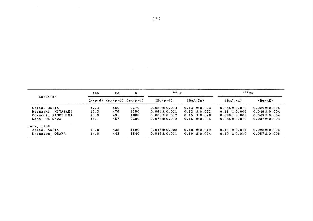|                    | Ash  | Ca                                | K                | $\bullet$ $\circ$ Sr |                  | $137C_S$          |                   |
|--------------------|------|-----------------------------------|------------------|----------------------|------------------|-------------------|-------------------|
| Location           |      | $(g/p \cdot d)$ (mg/p $\cdot d$ ) | $(mg/p \cdot d)$ | $(Bq/p \cdot d)$     | (Bq/gCa)         | $(Bq/p \cdot d)$  | (Bq/gK)           |
| Ocita, COITA       | 17.4 | 560                               | 2270             | $0.080 \pm 0.014$    | $0.14 \pm 0.024$ | $0.066 \pm 0.010$ | $0.029 \pm 0.005$ |
| Miyazaki, MIYAZAKI | 16.3 | 476                               | 2150             | $0.064 \pm 0.011$    | $0.13 \pm 0.022$ | $0.11 \pm 0.009$  | $0.049 \pm 0.004$ |
| Ookuchi, KAGOSHIMA | 15.9 | 431                               | 1800             | $0.066 \pm 0.012$    | $0.15 \pm 0.028$ | $0.089 \pm 0.008$ | $0.049 \pm 0.004$ |
| Naha, OKINAWA      | 15.1 | 457                               | 2280             | $0.072 \pm 0.012$    | $0.16 \pm 0.026$ | $0.085 \pm 0.010$ | $0.037 \pm 0.004$ |
| July, 1989         |      |                                   |                  |                      |                  |                   |                   |
| Akita, AKITA       | 12.8 | 438                               | 1690             | $0.045 \pm 0.008$    | $0.10 \pm 0.019$ | $0.16 \pm 0.011$  | $0.098 \pm 0.006$ |
| Neyagawa, OSAKA    | 14.0 | 443                               | 1840             | $0.045 \pm 0.011$    | $0.10 \pm 0.024$ | $0.10 \pm 0.010$  | $0.057 \pm 0.006$ |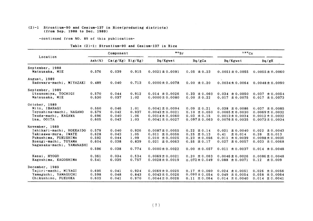#### $(2)-1$  Strontium-90 and Cesium-137 in Rice(producing districts) (from Sep.1988 to Dee.1989)

-COntinued from NO.89 0f this publication-

Table (2)-1: Strontium-90 and Cesium-137 in Rice

|                                                                                                                                                 |                                           | Component                                 |                                         | $\cdot$ $\cdot$ $\cdot$                                                                                      |                                                                                               | 137Cs                                                                                                 |                                                                                                              |
|-------------------------------------------------------------------------------------------------------------------------------------------------|-------------------------------------------|-------------------------------------------|-----------------------------------------|--------------------------------------------------------------------------------------------------------------|-----------------------------------------------------------------------------------------------|-------------------------------------------------------------------------------------------------------|--------------------------------------------------------------------------------------------------------------|
| Location                                                                                                                                        | $\text{Ash}(x)$                           | $Ca(g/Kg)$ $K(g/Kg)$                      |                                         | Bq/Kgwet                                                                                                     | Ba/gCa                                                                                        | Bq/Kgwet                                                                                              | Bq/gK                                                                                                        |
| September, 1988<br>Matsusaka, MIE                                                                                                               | 0.576                                     | 0.039                                     | 0.915                                   | $0.0021 \pm 0.0091$                                                                                          | $0.05 \pm 0.23$                                                                               | $0.0051 \pm 0.0055$                                                                                   | $0.0055 \pm 0.0060$                                                                                          |
| August, 1989<br>Sadowara-machi, MIYAZAKI                                                                                                        | 0.489                                     | 0.040                                     | 0.713                                   | $0.0000 \pm 0.0078$                                                                                          | $0.00 \pm 0.20$                                                                               | $0.0034 \pm 0.0064$                                                                                   | $0.0048 \pm 0.0090$                                                                                          |
| September, 1989<br>Utsunomiya, TOCHIGI<br>Matsusaka, MIE                                                                                        | 0.570<br>0.530                            | 0.044<br>0.037                            | 0.912<br>1.02                           | $0.014 \pm 0.0026$<br>$0.0000 \pm 0.0080$                                                                    | $0.33 \pm 0.060$<br>$0.00 \pm 0.22$                                                           | $0.034 \pm 0.0050$<br>$0.017 \pm 0.0075$                                                              | $0.037 \pm 0.0054$<br>$0.017 \pm 0.0073$                                                                     |
| October, 1989<br>Mito. IBARAGI<br>Toyoshina-machi, NAGANO<br>Tsuda-machi, KAGAWA<br>Usa, OOITA                                                  | 0.560<br>0.579<br>0.696<br>0.605          | 0.046<br>0.042<br>0.040<br>0.043          | 1.01<br>0.937<br>1.06<br>1.03           | $0.0041 \pm 0.0094$<br>$0.0043 \pm 0.0021$<br>$0.0014 \pm 0.0060$<br>$0.0041 \pm 0.0027$                     | $0.09 \pm 0.21$<br>$0.10 \pm 0.050$<br>$0.03 \pm 0.15$<br>$0.097 \pm 0.063$                   | $0.038 \pm 0.0086$<br>$0.0065 \pm 0.0030$<br>$0.0013 \pm 0.0034$<br>$0.0076 \pm 0.0035$               | $0.037 \pm 0.0085$<br>$0.0069 \pm 0.0032$<br>$0.0012 \pm 0.0032$<br>$0.0073 \pm 0.0034$                      |
| November, 1989<br>Ishikari-machi, HOKKAIDO<br>Takisawa-mura, IWATE<br>Fukushima. FUKUSHIMA<br>Kosugi-machi, TOYAMA<br>Nagasaka-machi, YAMANASHI | 0.579<br>0.628<br>0.592<br>0.604<br>0.596 | 0.040<br>0.043<br>0.044<br>0.038<br>0.038 | 0.926<br>1.05<br>1.09<br>0.839<br>0.774 | $0.0087 \pm 0.0055$<br>$0.011 \pm 0.0056$<br>$0.010 \pm 0.0025$<br>$0.021 \pm 0.0063$<br>$0.0000 \pm 0.0022$ | $0.22 \pm 0.14$<br>$0.25 \pm 0.13$<br>$0.23 \pm 0.056$<br>$0.55 \pm 0.17$<br>$0.00 \pm 0.057$ | $0.021 \pm 0.0040$<br>± 0.014<br>0.41<br>0.011<br>± 0.0039<br>0.027<br>± 0.0057<br>$0.011 \pm 0.0037$ | $0.022 \pm 0.0043$<br>0.39<br>$\pm 0.013$<br>$0.0098 \pm 0.0035$<br>$0.033 \pm 0.0068$<br>$0.014 \pm 0.0048$ |
| Kasai, HYOGO<br>Kagoshima, KAGOSHIMA                                                                                                            | 0.361<br>0.541                            | 0.034<br>0.039                            | 0.534<br>0.757                          | $0.0069 \pm 0.0021$<br>$0.0028 \pm 0.0019$                                                                   | $0.20 \pm 0.063$<br>$0.072 \pm 0.049$                                                         | $0.0046 \pm 0.0026$<br>$0.088 \pm 0.0071$                                                             | $0.0086 \pm 0.0048$<br>0.12<br>$\pm 0.009$                                                                   |
| December, 1989<br>Tajiri-machi, MIYAGI<br>Yamaguchi, YAMAGUCHI<br>Chikushino, FUKUOKA                                                           | 0.695<br>0.598<br>0.603                   | 0.041<br>0.048<br>0.041                   | 0.924<br>0.843<br>0.970                 | $0.0069 \pm 0.0025$<br>$0.0043 \pm 0.0026$<br>$0.0044 \pm 0.0026$                                            | $0.17 \pm 0.060$<br>$0.090 \pm 0.054$<br>$0.11 \pm 0.064$                                     | $0.024 \pm 0.0051$<br>$0.049 \pm 0.0054$<br>$0.014 \pm 0.0040$                                        | $0.026 \pm 0.0056$<br>$0.058 \pm 0.0064$<br>$0.014 \pm 0.0041$                                               |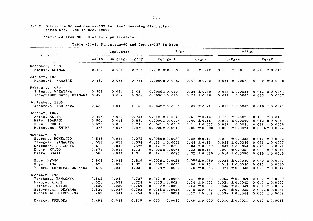#### (2)-2 Strontium-90 and Cesium-137 in Rice(consuming districts) (from Dee.1988 to Dec.1989)

-COntinued from NO.89 0f this publication-

#### Table (2)-2: Strontium-90 and Cesium-137 in Rice

|                                               |                | Component            |                | $\bullet \circ$ Sr                        |                                    | 137C <sub>S</sub>                        |                                          |
|-----------------------------------------------|----------------|----------------------|----------------|-------------------------------------------|------------------------------------|------------------------------------------|------------------------------------------|
| Location                                      | Ash(X)         | $Ca(g/Kg)$ $K(g/Kg)$ |                | Bq/Kgwet                                  | Bq/gCa                             | Bq/Kgwet                                 | Bq/gK                                    |
| December, 1988<br>Matsue, SHIMANE             | 0.392          | 0.036                | 0.705          | $0.012 \pm 0.0081$                        | $0.33 \pm 0.22$                    | 0.15<br>± 0.011                          | 0.21<br>± 0.016                          |
| January, 1989<br>Nagasaki, NAGASAKI           | 0.432          | 0.038                | 0.781          | $0.0000 \pm 0.0082$                       | $0.00 \pm 0.22$                    | $0.041 \pm 0.0073$                       | $0.052 \pm 0.0093$                       |
| February, 1989                                |                |                      |                |                                           |                                    |                                          |                                          |
| Shinguu, WAKAYAMA<br>Yonagusuku-mura, OKINAWA | 0.562<br>0.473 | 0.034<br>0.037       | 1.02<br>0.969  | $0.0089 \pm 0.010$<br>$0.0090 \pm 0.010$  | $0.26 \pm 0.30$<br>$0.24 \pm 0.28$ | $0.013 \pm 0.0055$<br>$0.022 \pm 0.0065$ | $0.012 \pm 0.0054$<br>$0.023 \pm 0.0067$ |
| September, 1989                               |                |                      |                |                                           |                                    |                                          |                                          |
| Kanazawa, ISHIKAWA                            | 0.556          | 0.045                | 1.16           | $0.0042 \pm 0.0096$                       | $0.09 \pm 0.22$                    | $0.012 \pm 0.0082$                       | $0.010 \pm 0.0071$                       |
| October, 1989                                 |                |                      |                |                                           |                                    |                                          |                                          |
| Akita, AKITA<br>Mito, IBARAGI                 | 0.474<br>0.504 | 0.032<br>0.041       | 0.734<br>0.851 | $0.019 \pm 0.0049$<br>$0.0000 \pm 0.0074$ | $0.60 \pm 0.15$<br>$0.00 \pm 0.18$ | 0.13<br>± 0.007<br>$0.011 \pm 0.0069$    | 0.18<br>± 0.010<br>$0.013 \pm 0.0081$    |
| Fukui, FUKUI                                  | 0.525          | 0.038                | 0.740          | $0.0041 \pm 0.0047$                       | $0.11 \pm 0.012$                   | $0.028 \pm 0.0041$                       | $0.038 \pm 0.0056$                       |
| Matsuyama, EHIME                              | 0.478          | 0.045                | 0.970          | $0.0000 \pm 0.0041$                       | $0.00 \pm 0.090$                   | $0.0016 \pm 0.0024$                      | $0.0016 \pm 0.0024$                      |
| November, 1989                                |                |                      |                |                                           |                                    |                                          |                                          |
| Sapporo, HOKKAIDO                             | 0.545          | 0.041                | 0.975          | $0.0089 \pm 0.0053$                       | $0.22 \pm 0.13$                    | $0.011 \pm 0.0033$                       | $0.012 \pm 0.0034$                       |
| Yamagata, YAMAGATA                            | 0.534          | 0.034                | 0.694          | $0.015 \pm 0.0052$                        | $0.44 \pm 0.15$                    | $0.039 \pm 0.0046$                       | $0.056 \pm 0.0067$                       |
| Shizuoka, SHIZUOKA                            | 0.513          | 0.042                | 0.677          | $0.014 \pm 0.0028$                        | $0.34 \pm 0.067$                   | $0.049 \pm 0.0054$                       | $0.073 \pm 0.0079$                       |
| Kyoto, KYOTO                                  | 0.671          | 0.041                | 1.13           | $0.0090 \pm 0.0061$                       | $0.22 \pm 0.15$                    | $0.0013 \pm 0.0051$                      | $0.0011 \pm 0.0045$                      |
| Osaka, OSAKA                                  | 0.560          | 0.044                | 1.01           | $0.014 \pm 0.0027$                        | $0.32 \pm 0.060$                   | $0.019 \pm 0.0050$                       | $0.019 \pm 0.0049$                       |
| Kobe, HYOGO                                   | 0.503          | 0.043                | 0.819          | $0.0038 \pm 0.0021$                       | $0.088 \pm 0.050$                  | $0.033 \pm 0.0040$                       | $0.040 \pm 0.0049$                       |
| Saga, SAGA                                    | 0.671          | 0.038                | 1.32           | $0.0000 \pm 0.0056$                       | $0.00 \pm 0.15$                    | $0.014 \pm 0.0040$                       | $0.011 \pm 0.0030$                       |
| Yonagusuku-mura, OKINAWA                      | 0.519          | 0.040                | 1.08           | $0.0079 \pm 0.0022$                       | $0.20 \pm 0.055$                   | $0.023 \pm 0.0048$                       | $0.021 \pm 0.0044$                       |
| December, 1989                                |                |                      |                |                                           |                                    |                                          |                                          |
| Yokohama, KANAGAWA                            | 0.505          | 0.041                | 0.737          | $0.017 \pm 0.0026$                        | $0.41 \pm 0.063$                   | $0.065 \pm 0.0059$                       | $0.087 \pm 0.0080$                       |
| Nagoya, AICHI                                 | 0.521          | 0.039                | 0.724          | $0.0053 \pm 0.0024$                       | $0.14 \pm 0.062$                   | $0.031 \pm 0.0042$                       | $0.043 \pm 0.0057$                       |
| Tottori, TOTTORI                              | 0.539          | 0.039                | 0.759          | $0.0092 \pm 0.0026$                       | $0.24 \pm 0.067$                   | $0.046 \pm 0.0049$                       | $0.061 \pm 0.0064$                       |
| Seto-machi, OKAYAMA                           | 0.529          | 0.037                | 0.798          | $0.0065 \pm 0.0025$                       | $0.18 \pm 0.067$                   | $0.0018 \pm 0.0025$                      | $0.0022 \pm 0.0031$                      |
| Hiroshima, HIROSHIMA                          | 0.463          | 0.044                | 0.754          | $0.012 \pm 0.0021$                        | $0.27 \pm 0.049$                   | $0.035 \pm 0.0044$                       | $0.046 \pm 0.0058$                       |
| Kasuga, FUKUOKA                               | 0.494          | 0.043                | 0.815          | $0.020 \pm 0.0030$                        |                                    | $0.46 \pm 0.070$ 0.010 $\pm$ 0.0031      | $0.012 \pm 0.0038$                       |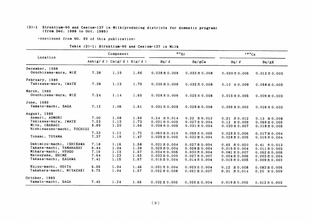#### $(3)-1$  Strontium-90 and Cesium-137 in Milk(producing districts for domestic program)  $($ from Dec. 1988 to Oct. 1989)

-COntinued from NO.89 0f this publication-

| fable (3)-1: Strontium-90 and Cesium-137 in Milk |  |  |  |  |  |  |  |
|--------------------------------------------------|--|--|--|--|--|--|--|
|--------------------------------------------------|--|--|--|--|--|--|--|

| Location                                            | Component                                       |              |              | $\cdot$ $\cdot$ $\cdot$ $\cdot$        |                                        | 137C <sub>S</sub>                      |                                        |
|-----------------------------------------------------|-------------------------------------------------|--------------|--------------|----------------------------------------|----------------------------------------|----------------------------------------|----------------------------------------|
|                                                     | Ash $(g / \ell)$ Ca $(g / \ell)$ K $(g / \ell)$ |              |              | $Bq / \ell$                            | Bq/gCa                                 | $Bq / \ell$                            | Bq/gK                                  |
| December, 1988<br>Oouchiyama-mura, MIE              | 7.38                                            | 1.19         | 1.66         | $0.038 \pm 0.009$                      | $0.032 \pm 0.008$                      | $0.020 \pm 0.005$                      | $0.012 \pm 0.003$                      |
| February, 1989<br>Takisawa-mura, IWATE              | 7.38                                            | 1.13         | 1.76         | $0.036 \pm 0.009$                      | $0.032 \pm 0.008$                      | $0.10 \pm 0.009$                       | $0.058 \pm 0.005$                      |
| March, 1989<br>Oouchiyama-mura, MIE                 | 7.24                                            | 1.14         | 1.65         | $0.028 \pm 0.009$                      | $0.025 \pm 0.008$                      | $0.015 \pm 0.005$                      | $0.009 \pm 0.003$                      |
| June, 1989<br>Yamato-machi, SAGA                    | 7.12                                            | 1.06         | 1.61         | $0.031 \pm 0.009$                      | $0.029 \pm 0.008$                      | $0.026 \pm 0.005$                      | $0.016 \pm 0.003$                      |
| August, 1989                                        |                                                 |              |              |                                        |                                        |                                        |                                        |
| Aomori, AOMORI<br>Takisawa-mura, IWATE              | 7.00<br>7.53                                    | 1.08<br>1.13 | 1.56<br>1.73 | $0.24 \pm 0.014$<br>$0.031 \pm 0.005$  | $0.22 \pm 0.013$<br>$0.027 \pm 0.004$  | $0.21 \pm 0.012$<br>$0.12 \pm 0.009$   | $0.13 \pm 0.008$<br>$0.069 \pm 0.005$  |
| Mito, IBARAGI<br>Nishinasuno-machi, TOCHIGI         | 6.69                                            | 1.20         | 1.66         | $0.038 \pm 0.005$                      | $0.031 \pm 0.004$                      | $0.030 \pm 0.007$                      | $0.018 \pm 0.005$                      |
|                                                     | 7.33                                            | 1.11         | 1.72         | $0.060 \pm 0.010$                      | $0.055 \pm 0.009$                      | $0.029 \pm 0.006$                      | $0.017 \pm 0.004$                      |
| Tonami, TOYAMA                                      | 7.37                                            | 1.19         | 1.47         | $0.039 \pm 0.005$                      | $0.033 \pm 0.004$                      | $0.028 \pm 0.005$                      | $0.019 \pm 0.004$                      |
| Oshimizu-machi, ISHIKAWA<br>Takane-machi, YAMANASHI | 7.18<br>6.44                                    | 1.16<br>1.04 | 1.58<br>1.38 | $0.031 \pm 0.004$                      | $0.027 \pm 0.004$                      | $0.65 \pm 0.020$                       | $0.41 \pm 0.013$                       |
| Mihara-machi, HYOGO                                 | 7.16                                            | 1.13         | 1.57         | $0.029 \pm 0.004$<br>$0.034 \pm 0.005$ | $0.028 \pm 0.004$<br>$0.030 \pm 0.004$ | $0.016 \pm 0.004$<br>$0.081 \pm 0.007$ | $0.011 \pm 0.003$<br>$0.052 \pm 0.005$ |
| Matsuyama, EHIME                                    | 7.64                                            | 1.23         | 1.65         | $0.033 \pm 0.009$                      | $0.027 \pm 0.007$                      | $0.004 \pm 0.006$                      | $0.003 \pm 0.004$                      |
| Takasa-machi, KAGAWA                                | 7.41                                            | 1.15         | 1.67         | $0.016 \pm 0.004$                      | $0.014 \pm 0.004$                      | $0.016 \pm 0.005$                      | $0.009 \pm 0.003$                      |
| Kujuu-machi, OOITA                                  | 6.55                                            | 1.04         | 1.46         | $0.031 \pm 0.004$                      | $0.029 \pm 0.004$                      | $0.12 \pm 0.008$                       | $0.083 \pm 0.006$                      |
| Takahara-machi, MIYAZAKI                            | 6.75                                            | 1.04         | 1.57         | $0.022 \pm 0.008$                      | $0.021 \pm 0.007$                      | $0.31 \pm 0.014$                       | $0.20 \pm 0.009$                       |
| October. 1989                                       |                                                 |              |              |                                        |                                        |                                        |                                        |
| Yamato-machi, SAGA                                  | 7.43                                            | 1.24         | 1.56         | $0.032 \pm 0.005$                      | $0.026 \pm 0.004$                      | $0.019 \pm 0.005$                      | $0.012 \pm 0.003$                      |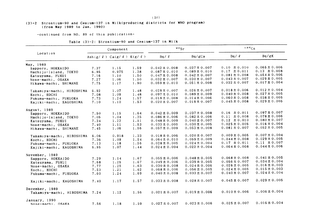#### (3)-2 Strontiun-gO and Cesiun-137.in Milk(producing districts for VHO program) (from May1989 to Jan.1990)

#### -continued from NO. 89 of this publication-

|                           | Component                                       |       |      | $\frac{90}{s}$ r  |                   | 137Cs             |                   |
|---------------------------|-------------------------------------------------|-------|------|-------------------|-------------------|-------------------|-------------------|
| Location                  | Ash $(g / \ell)$ Ca $(g / \ell)$ K $(g / \ell)$ |       |      | $Bq / \ell$       | Bq/gCa            | $Bq / \ell$       | Bq/gK             |
| May, 1989                 |                                                 |       |      |                   |                   |                   |                   |
| Sapporo, HOKKAIDO         | 7.37                                            | 1.15  | 1.59 | $0.042 \pm 0.008$ | $0.037 \pm 0.007$ | $0.10 \pm 0.010$  | $0.065 \pm 0.006$ |
| Hachijo-Island, TOKYO     | 6.95                                            | 0.975 | 1.38 | $0.087 \pm 0.010$ | $0.089 \pm 0.010$ | $0.17 \pm 0.011$  | $0.13 \pm 0.008$  |
| Katsuyama, FUKUI          | 7.16                                            | 1.10  | 1.50 | $0.047 \pm 0.008$ | $0.042 \pm 0.007$ | $0.081 \pm 0.008$ | $0.054 \pm 0.006$ |
| Nose-machi, OSAKA         | 7.27                                            | 1.06  | 1.50 | $0.032 \pm 0.007$ | $0.030 \pm 0.007$ | $0.043 \pm 0.007$ | $0.029 \pm 0.005$ |
| Hikawa-machi, SHIMANE     | 7.75                                            | 1.17  | 1.90 | $0.059 \pm 0.010$ | $0.051 \pm 0.008$ | $0.032 \pm 0.007$ | $0.017 \pm 0.004$ |
| Takamiya-machi, HIROSHIMA | 6.92                                            | 1.07  | 1.48 | $0.028 \pm 0.007$ | $0.026 \pm 0.007$ | $0.018 \pm 0.006$ | $0.012 \pm 0.004$ |
| Kochi, KOCHI              | 7.08                                            | 1.09  | 1.48 | $0.097 \pm 0.010$ | $0.089 \pm 0.009$ | $0.040 \pm 0.008$ | $0.027 \pm 0.005$ |
| Fukuma-machi, FUKUOKA     | 7.73                                            | 1.24  | 1.57 | $0.018 \pm 0.008$ | $0.014 \pm 0.006$ | $0.060 \pm 0.008$ | $0.038 \pm 0.005$ |
| Kajiki-machi, KAGOSHIMA   | 7.10                                            | 1.10  | 1.53 | $0.020 \pm 0.007$ | $0.018 \pm 0.007$ | $0.045 \pm 0.008$ | $0.029 \pm 0.005$ |
| August, 1989              |                                                 |       |      |                   |                   |                   |                   |
| Sapporo, HOKKAIDO         | 7.50                                            | 1.15  | 1.64 | $0.042 \pm 0.009$ | $0.037 \pm 0.008$ | $0.16 \pm 0.011$  | $0.097 \pm 0.007$ |
| Hachijo-Island, TOKYO     | 7.05                                            | 1.04  | 1.35 | $0.086 \pm 0.006$ | $0.082 \pm 0.006$ | $0.11 \pm 0.008$  | $0.078 \pm 0.006$ |
| Katsuyama, FUKUI          | 7.34                                            | 1.22  | 1.51 | $0.048 \pm 0.009$ | $0.040 \pm 0.007$ | $0.12 \pm 0.010$  | $0.080 \pm 0.007$ |
| Nose-machi, OSAKA         | 7.40                                            | 1.11  | 1.53 | $0.033 \pm 0.005$ | $0.030 \pm 0.005$ | $0.025 \pm 0.005$ | $0.016 \pm 0.004$ |
| Hikawa-machi, SHIMANE     | 7.45                                            | 1.06  | 1.56 | $0.057 \pm 0.009$ | $0.053 \pm 0.008$ | $0.081 \pm 0.007$ | $0.052 \pm 0.005$ |
| Takamiya-machi, HIROSHIMA | 6.06                                            | 0.918 | 1.33 | $0.018 \pm 0.006$ | $0.020 \pm 0.007$ | $0.009 \pm 0.005$ | $0.007 \pm 0.004$ |
| Kochi, KOCHI              | 7.36                                            | 1.09  | 1.54 | $0.064 \pm 0.010$ | $0.059 \pm 0.009$ | $0.044 \pm 0.008$ | $0.029 \pm 0.005$ |
| Fukuma-machi, FUKUOKA     | 7.13                                            | 1.18  | 1.56 | $0.028 \pm 0.005$ | $0.024 \pm 0.004$ | $0.17 \pm 0.011$  | $0.11 \pm 0.007$  |
| Kajiki-machi, KAGOSHIMA   | 6.95                                            | 1.07  | 1.44 | $0.024 \pm 0.004$ | $0.022 \pm 0.004$ | $0.064 \pm 0.008$ | $0.044 \pm 0.006$ |
| November, 1989            |                                                 |       |      |                   |                   |                   |                   |
| Sapporo, HOKKAIDO         | 7.29                                            | 1.14  | 1.67 | $0.055 \pm 0.006$ | $0.048 \pm 0.005$ | $0.068 \pm 0.008$ | $0.041 \pm 0.005$ |
| Katsuyama, FUKUI          | 7.68                                            | 1.25  | 1.67 | $0.049 \pm 0.006$ | $0.039 \pm 0.005$ | $0.056 \pm 0.007$ | $0.034 \pm 0.004$ |
| Nose-machi, OSAKA         | 7.77                                            | 1.25  | 1.63 | $0.030 \pm 0.008$ | $0.024 \pm 0.006$ | $0.026 \pm 0.005$ | $0.016 \pm 0.003$ |
| Kochi, KOCHI              | 7.53                                            | 1.21  | 1.62 | $0.068 \pm 0.006$ | $0.056 \pm 0.005$ | $0.024 \pm 0.005$ | $0.015 \pm 0.003$ |
| Fukuma-machi, FUKUOKA     | 7.60                                            | 1.24  | 1.69 | $0.040 \pm 0.008$ | $0.033 \pm 0.007$ | $0.040 \pm 0.007$ | $0.024 \pm 0.004$ |
| Kajiki-machi, KAGOSHIMA   | 7.40                                            | 1.17  | 1.57 | $0.033 \pm 0.008$ | $0.028 \pm 0.007$ | $0.045 \pm 0.007$ | $0.029 \pm 0.005$ |
| December, 1989            |                                                 |       |      |                   |                   |                   |                   |
| Takamiya-machi, HIROSHIMA | 7.24                                            | 1.12  | 1.56 | $0.021 \pm 0.007$ | $0.019 \pm 0.006$ | $0.010 \pm 0.006$ | $0.006 \pm 0.004$ |
| January, 1990             |                                                 |       |      |                   |                   |                   |                   |
| Nose-machi. OSAKA         | 7.56                                            | 1.18  | 1.59 | $0.027 \pm 0.007$ | $0.023 \pm 0.006$ | $0.025 \pm 0.007$ | $0.016 \pm 0.004$ |

#### Table (3)-2: Strontium-90 and Cesium-137 in Milk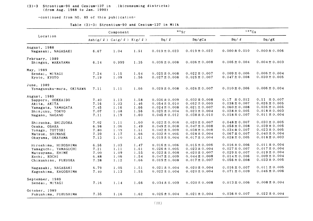#### (3)-3 Strontium-90 and Cesium-137in \_1k(COnSuming districts) (from Aug.1988 to Jan.1990)

-COntinued from NO.89 0f this publication-

|                          |      | Component                                       |      | $\mathfrak{so}_{\mathrm{Sr}}$ |                   | 137Cs             |                   |
|--------------------------|------|-------------------------------------------------|------|-------------------------------|-------------------|-------------------|-------------------|
| Location                 |      | Ash $(g / \ell)$ Ca $(g / \ell)$ K $(g / \ell)$ |      | $Bq / \ell$                   | Bq/gCa            | $Bq / \ell$       | Bq/gK             |
| August, 1988             |      |                                                 |      |                               |                   |                   |                   |
| Nagasaki, NAGASAKI       | 6.67 | 1.04                                            | 1.51 | $0.019 \pm 0.023$             | $0.019 \pm 0.022$ | $0.000 \pm 0.010$ | $0.000 \pm 0.006$ |
| February, 1989           |      |                                                 |      |                               |                   |                   |                   |
| Shinguu, WAKAYAMA        | 6.14 | 0.999                                           | 1.35 | $0.036 \pm 0.008$             | $0.036 \pm 0.008$ | $0.005 \pm 0.004$ | $0.004 \pm 0.003$ |
| May, 1989                |      |                                                 |      |                               |                   |                   |                   |
| Sendai, MIYAGI           | 7.24 | 1.15                                            | 1.64 | $0.025 \pm 0.008$             | $0.022 \pm 0.007$ | $0.009 \pm 0.006$ | $0.006 \pm 0.004$ |
| Kyoto, KYOTO             | 7.19 | 1.09                                            | 1.56 | $0.027 \pm 0.008$             | $0.025 \pm 0.007$ | 0.047 $\pm$ 0.008 | $0.030 \pm 0.005$ |
| June, 1989               |      |                                                 |      |                               |                   |                   |                   |
| Yonagusuku-mura, OKINAWA | 7.11 | 1.11                                            | 1.66 | $0.029 \pm 0.008$             | $0.026 \pm 0.007$ | $0.010 \pm 0.006$ | $0.006 \pm 0.004$ |
| August, 1989             |      |                                                 |      |                               |                   |                   |                   |
| Sapporo, HOKKAIDO        | 7.40 | 1.13                                            | 1.58 | $0.036 \pm 0.009$             | $0.032 \pm 0.008$ | $0.17 \pm 0.012$  | $0.11 \pm 0.007$  |
| Akita, AKITA             | 7.16 | 1.03                                            | 1.46 | $0.054 \pm 0.010$             | $0.052 \pm 0.009$ | $0.038 \pm 0.007$ | $0.026 \pm 0.005$ |
| Yamagata, YAMAGATA       | 7.45 | 1.16                                            | 1.66 | $0.024 \pm 0.008$             | $0.021 \pm 0.007$ | $0.060 \pm 0.008$ | $0.036 \pm 0.005$ |
| Shinjuku, TOKYO          | 7.07 | 1.08                                            | 1.56 | $0.025 \pm 0.004$             | $0.023 \pm 0.004$ | $0.028 \pm 0.005$ | $0.018 \pm 0.003$ |
| Nagano, NAGANO           | 7.11 | 1.19                                            | 1.60 | $0.045 \pm 0.012$             | $0.038 \pm 0.010$ | $0.018 \pm 0.007$ | $0.011 \pm 0.004$ |
| Shizuoka, SHIZUOKA       | 7.02 | 1.11                                            | 1.60 | $0.022 \pm 0.008$             | $0.020 \pm 0.007$ | $0.048 \pm 0.007$ | $0.030 \pm 0.005$ |
| Osaka, OSAKA             | 6.98 | 1.06                                            | 1.49 | $0.049 \pm 0.008$             | $0.047 \pm 0.008$ | $0.058 \pm 0.008$ | $0.039 \pm 0.005$ |
| Yonago, TOTTORI          | 7.80 | 1.09                                            | 1.51 | $0.042 \pm 0.009$             | $0.038 \pm 0.008$ | $0.034 \pm 0.007$ | $0.023 \pm 0.005$ |
| Matsue, SHIMANE          | 7.39 | 1.17                                            | 1.66 | $0.032 \pm 0.005$             | $0.028 \pm 0.004$ | $0.067 \pm 0.007$ | $0.040 \pm 0.004$ |
| Okayama, OKAYAMA         | 7.13 | 1.10                                            | 1.61 | $0.019 \pm 0.004$             | $0.017 \pm 0.004$ | $0.028 \pm 0.005$ | $0.018 \pm 0.003$ |
| Hiroshima, HIROSHIMA     | 6.56 | 1.03                                            | 1.47 | $0.016 \pm 0.006$             | $0.015 \pm 0.006$ | $0.016 \pm 0.006$ | $0.011 \pm 0.004$ |
| Yamaguchi, YAMAGUCHI     | 7.21 | 1.11                                            | 1.61 | $0.026 \pm 0.005$             | $0.023 \pm 0.004$ | $0.027 \pm 0.007$ | $0.017 \pm 0.004$ |
| Matsuyama, EHIME         | 7.00 | 1.09                                            | 1.55 | $0.022 \pm 0.008$             | $0.020 \pm 0.007$ | $0.029 \pm 0.007$ | $0.019 \pm 0.004$ |
| Kochi, KOCHI             | 6.88 | 1.06                                            | 1.54 | $0.047 \pm 0.009$             | $0.044 \pm 0.008$ | $0.014 \pm 0.006$ | $0.009 \pm 0.004$ |
| Chikushino, FUKUOKA      | 7.38 | 1.12                                            | 1.66 | $0.019 \pm 0.008$             | $0.017 \pm 0.007$ | $0.056 \pm 0.008$ | $0.033 \pm 0.005$ |
| Nagasaki, NAGASAKI       | 6.79 | 1.05                                            | 1.51 | $0.021 \pm 0.004$             | $0.020 \pm 0.004$ | $0.016 \pm 0.007$ | $0.011 \pm 0.005$ |
| Kagoshima, KAGOSHIMA     | 7.40 | 1.13                                            | 1.55 | $0.022 \pm 0.004$             | $0.020 \pm 0.004$ | $0.071 \pm 0.009$ | $0.046 \pm 0.006$ |
| September, 1989          |      |                                                 |      |                               |                   |                   |                   |
| Sendai, MIYAGI           | 7.16 | 1.14                                            | 1.66 | $0.034 \pm 0.009$             | $0.030 \pm 0.008$ | $0.013 \pm 0.006$ | $0.008 \pm 0.004$ |
| October, 1989            |      |                                                 |      |                               |                   |                   |                   |
| Fukushima, FUKUSHIMA     | 7.35 | 1.16                                            | 1.62 | $0.025 \pm 0.004$             | $0.021 \pm 0.004$ | $0.036 \pm 0.007$ | $0.022 \pm 0.004$ |

Table (3)-3: Strontium-90 and Cesium-137 in Milk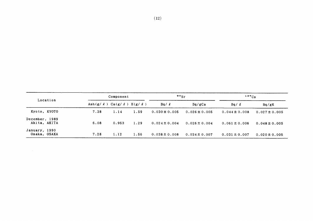| Location                       |                                                 | Component |      |                   | $\cdot$ $\cdot$ $\cdot$ $\cdot$ | $137C_S$          |                   |  |
|--------------------------------|-------------------------------------------------|-----------|------|-------------------|---------------------------------|-------------------|-------------------|--|
|                                | Ash $(g / \ell)$ Ca $(g / \ell)$ K $(g / \ell)$ |           |      | $Ba / \ell$       | Bq/gCa                          | Ba/l              | Bq/gK             |  |
| Kyoto, KYOTO                   | 7.38                                            | 1.14      | 1.59 | $0.030 \pm 0.005$ | $0.026 \pm 0.005$               | $0.044 \pm 0.008$ | $0.027 \pm 0.005$ |  |
| December, 1989<br>Akita, AKITA | 6.08                                            | 0.953     | 1.29 | $0.024 \pm 0.004$ | $0.026 \pm 0.004$               | $0.061 \pm 0.006$ | $0.048 \pm 0.005$ |  |
| January, 1990<br>Osaka, OSAKA  | 7.28                                            | 1.12      | 1.56 | $0.038 \pm 0.008$ | $0.034 \pm 0.007$               | $0.031 \pm 0.007$ | $0.020 \pm 0.005$ |  |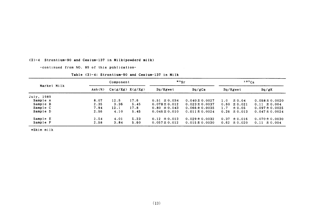#### (3)-4 Strontium-90 and Cesiun-137in Milk(povderd milk)

-COntinued from NO.89 0f this publication-

| Market Milk<br>July, 1989 |        | Component            |      |                   | $\cdot$ $\cdot$ sr | 137Cs               |                    |  |
|---------------------------|--------|----------------------|------|-------------------|--------------------|---------------------|--------------------|--|
|                           | Ash(x) | $Ca(g/Kg)$ $K(g/Kg)$ |      | Bq/Kgwet          | Bq/gCa             | Bq/Kgwet            | Bq/gK              |  |
|                           |        |                      |      |                   |                    |                     |                    |  |
| Sample A                  | 8.07   | 12.5                 | 17.6 | $0.51 \pm 0.034$  | $0.040 \pm 0.0027$ | $\pm 0.04$<br>1.0   | $0.058 \pm 0.0020$ |  |
| Sample B                  | 2.35   | 3.36                 | 5.45 | $0.078 \pm 0.012$ | $0.023 \pm 0.0037$ | 0.60<br>$\pm 0.021$ | $0.11 \pm 0.004$   |  |
| Sample C                  | 7.94   | 12.1                 | 17.8 | $0.80 \pm 0.043$  | $0.066 \pm 0.0035$ | $\pm 0.05$<br>1.7   | $0.097 \pm 0.0025$ |  |
| Sample D                  | 2.56   | 4.10                 | 5.45 | $0.046 \pm 0.010$ | $0.011 \pm 0.0024$ | $0.26 \pm 0.013$    | $0.047 \pm 0.0024$ |  |
| Sample E                  | 2.54   | 4.01                 | 5.23 | $0.12 \pm 0.013$  | $0.029 \pm 0.0032$ | $\pm 0.016$<br>0.37 | $0.070 \pm 0.0030$ |  |
| Sample F                  | 2.58   | 3.84                 | 5.60 | $0.057 \pm 0.012$ | $0.015 \pm 0.0030$ | $0.62 \pm 0.020$    | $0.11 \pm 0.004$   |  |

#### Table (3)-4: Strontium-90 and Cesium-137 in Milk

\*Skim milk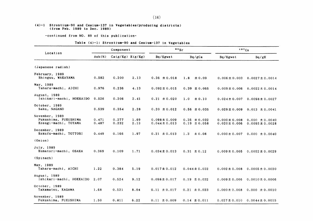#### (4)-1 Strontium-90 and Cesium-137 in Vegetables (producing districts) (from Feb. 1989 to Dec. 1989)

-continued from NO. 89 of this publication-

#### Table (4)-1: Strontium-90 and Cesium-137 in Vegetables

|                                                                | Component                  |                      |              | $\cdot \cdot$                          |                                      | 137C <sub>S</sub>                      |                                           |  |
|----------------------------------------------------------------|----------------------------|----------------------|--------------|----------------------------------------|--------------------------------------|----------------------------------------|-------------------------------------------|--|
| Location                                                       | $\mathsf{Ash}(\mathsf{x})$ | $Ca(g/Kg)$ $K(g/Kg)$ |              | Bq/Kgwet                               | Bq/gCa                               | Bq/Kgwet                               | Bq/gK                                     |  |
| (Japanese radish)                                              |                            |                      |              |                                        |                                      |                                        |                                           |  |
| February, 1989<br>Shinguu, WAKAYAMA                            | 0.582                      | 0.200                | 2.13         | $0.36 \pm 0.018$                       | 1.8<br>$\pm 0.09$                    | $0.006 \pm 0.003$                      | $0.0027 \pm 0.0014$                       |  |
| May, 1989<br>Tahara-machi, AICHI                               | 0.976                      | 0.236                | 4.13         | $0.092 \pm 0.015$                      | $0.39 \pm 0.065$                     | $0.009 \pm 0.006$                      | $0.0022 \pm 0.0014$                       |  |
| August, 1989<br>Ishikari-machi, HOKKAIDO                       | 0.526                      | 0.206                | 2.41         | $0.21 \pm 0.020$                       | 1.0<br>$\pm 0.10$                    | $0.024 \pm 0.007$                      | $0.0098 \pm 0.0027$                       |  |
| October, 1989<br>Saku, NAGANO                                  | 0.539                      | 0.354                | 2.28         | $0.20 \pm 0.012$                       | $0.56 \pm 0.035$                     | $0.029 \pm 0.009$                      | $0.013 \pm 0.0041$                        |  |
| November, 1989<br>Fukushima, FUKUSHIMA<br>Kosugi-machi, TOYAMA | 0.471<br>0.487             | 0.277<br>0.232       | 1.69<br>2.13 | $0.098 \pm 0.009$<br>$0.044 \pm 0.013$ | $0.35 \pm 0.032$<br>$0.19 \pm 0.058$ | $0.000 \pm 0.008$<br>$0.020 \pm 0.006$ | $0.000 \pm 0.0040$<br>$0.0095 \pm 0.0028$ |  |
| December, 1989<br>Kokufu-machi, TOTTORI                        | 0.449                      | 0.166                | 1.97         | $0.21 \pm 0.013$                       | 1.3<br>± 0.08                        | $0.000 \pm 0.007$                      | $0.000 \pm 0.0040$                        |  |
| (Onion)                                                        |                            |                      |              |                                        |                                      |                                        |                                           |  |
| July, 1989<br>Kumatori-machi, OSAKA                            | 0.369                      | 0.109                | 1.71         | $0.034 \pm 0.013$                      | $0.31 \pm 0.12$                      | $0.009 \pm 0.005$                      | $0.0052 \pm 0.0029$                       |  |
| (Spinach)                                                      |                            |                      |              |                                        |                                      |                                        |                                           |  |
| May, 1989<br>Tahara-machi, AICHI                               | 1.22                       | 0.384                | 5.19         | $0.017 \pm 0.012$                      | $0.044 \pm 0.032$                    | $0.002 \pm 0.008$                      | $0.0005 \pm 0.0020$                       |  |
| August, 1989<br>Ishikari-machi, HOKKAIDO                       | 2.07                       | 0.524                | 9.12         | $0.098 \pm 0.017$                      | $0.19 \pm 0.032$                     | $0.009 \pm 0.006$                      | $0.0010 \pm 0.0006$                       |  |
| October, 1989<br>Takamatsu, KAGAWA                             | 1.68                       | 0.521                | 8.04         | $0.11 \pm 0.017$                       | $0.21 \pm 0.033$                     | $0.000 \pm 0.008$                      | $0.000 \pm 0.0010$                        |  |
| November, 1989<br>Fukushima, FUKUSHIMA                         | 1.50                       | 0.811                | 6.22         | $0.11 \pm 0.009$                       | $0.14 \pm 0.011$                     | $0.027 \pm 0.010$                      | $0.0044 \pm 0.0015$                       |  |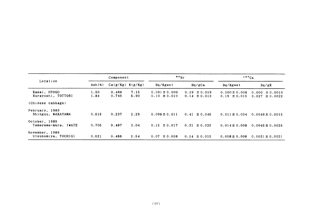| Location                              | Component                    |                      |              | $\frac{80}{5}$                        |                                      | 137Cg                                 |                                          |  |
|---------------------------------------|------------------------------|----------------------|--------------|---------------------------------------|--------------------------------------|---------------------------------------|------------------------------------------|--|
|                                       | $\text{Ash}(\boldsymbol{x})$ | $Ca(g/Kg)$ $K(g/Kg)$ |              | Bq/Kgwet                              | Bq/gCa                               | Bq/Kgwet                              | Bq/gK                                    |  |
| Kasai, HYOGO<br>Kurayoshi, TOTTORI    | 1.50<br>1.84                 | 0.488<br>0.749       | 7.15<br>6.90 | $0.091 \pm 0.009$<br>$0.10 \pm 0.010$ | $0.19 \pm 0.019$<br>$0.14 \pm 0.013$ | $0.000 \pm 0.008$<br>$0.19 \pm 0.015$ | $0.000 \pm 0.0010$<br>$0.027 \pm 0.0022$ |  |
| (Chinese cabbage)                     |                              |                      |              |                                       |                                      |                                       |                                          |  |
| February, 1989<br>Shinguu, WAKAYAMA   | 0.616                        | 0.237                | 2.29         | $0.098 \pm 0.011$                     | $0.41 \pm 0.046$                     | $0.011 \pm 0.004$                     | $0.0049 \pm 0.0015$                      |  |
| October, 1989<br>Tamayama-mura, IWATE | 0.705                        | 0.487                | 3.04         | $0.15 \pm 0.017$                      | $0.31 \pm 0.035$                     | $0.014 \pm 0.008$                     | $0.0046 \pm 0.0026$                      |  |
| November, 1989<br>Utsunomiya, TOCHIGI | 0.621                        | 0.488                | 2.54         | $0.07 \pm 0.008$                      | $0.14 \pm 0.015$                     | $0.008 \pm 0.008$                     | $0.0031 \pm 0.0031$                      |  |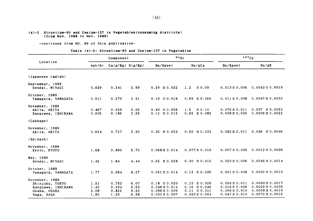#### (4)-2 Strontium-90 and Cesium-137 in Vegetables (consuming districts) (from Nov.1988 to Nov.1989)

-continued from NO. 89 of this publication-

Table (4)-2: Strontium-90 and Cesium-137 in Vegetables

|                                                                                       |                              | Component                       |                              |                                                                                 | $\frac{80}{5}$                                                                | 137Cs                                                                            |                                                                                          |  |
|---------------------------------------------------------------------------------------|------------------------------|---------------------------------|------------------------------|---------------------------------------------------------------------------------|-------------------------------------------------------------------------------|----------------------------------------------------------------------------------|------------------------------------------------------------------------------------------|--|
| Location                                                                              | Ash(%)                       | $Ca(g/Kg)$ $K(g/Kg)$            |                              | Bq/Kgwet                                                                        | Bq/gCa                                                                        | Bq/Kgwet                                                                         | Bq/gK                                                                                    |  |
| (Japanese radish)                                                                     |                              |                                 |                              |                                                                                 |                                                                               |                                                                                  |                                                                                          |  |
| September, 1989<br>Sendai, MIYAGI                                                     | 0.629                        | 0.241                           | 2.99                         | $0.29 \pm 0.022$                                                                | 1.2<br>$\pm 0.09$                                                             | $0.013 \pm 0.006$                                                                | $0.0043 \pm 0.0019$                                                                      |  |
| October, 1989<br>Yamagata, YAMAGATA                                                   | 0.511                        | 0.270                           | 2.31                         | $0.19 \pm 0.018$                                                                | $0.69 \pm 0.066$                                                              | $0.011 \pm 0.008$                                                                | $0.0047 \pm 0.0033$                                                                      |  |
| November, 1989<br>Akita, AKITA<br>Kanazawa, ISHIKAWA                                  | 0.467<br>0.505               | 0.259<br>0.186                  | 2.05<br>2.26                 | $0.40 \pm 0.026$<br>$0.12 \pm 0.015$                                            | 1.5<br>$\pm 0.10$<br>$0.65 \pm 0.082$                                         | $0.076 \pm 0.011$<br>$0.008 \pm 0.005$                                           | $0.037 \pm 0.0053$<br>$0.0036 \pm 0.0022$                                                |  |
| (Cabbage)                                                                             |                              |                                 |                              |                                                                                 |                                                                               |                                                                                  |                                                                                          |  |
| November, 1989<br>Akita, AKITA                                                        | 0.624                        | 0.727                           | 2.30                         | $0.36 \pm 0.023$                                                                | $0.50 \pm 0.032$                                                              | $0.082 \pm 0.011$                                                                | $0.036 \pm 0.0046$                                                                       |  |
| (Spinach)                                                                             |                              |                                 |                              |                                                                                 |                                                                               |                                                                                  |                                                                                          |  |
| November, 1988<br>Kyoto, KYOTO                                                        | 1.68                         | 0.890                           | 5.70                         | $0.068 \pm 0.014$                                                               | $0.077 \pm 0.015$                                                             | $0.007 \pm 0.005$                                                                | $0.0012 \pm 0.0009$                                                                      |  |
| May, 1989<br>Sendai, MIYAGI                                                           | 1.45                         | 1.84                            | 4.44                         | $0.55 \pm 0.028$                                                                | $0.30 \pm 0.015$                                                              | $0.020 \pm 0.006$                                                                | $0.0045 \pm 0.0014$                                                                      |  |
| October, 1989<br>Yamagata, YAMAGATA                                                   | 1.77                         | 0.394                           | 8.27                         | $0.051 \pm 0.014$                                                               | $0.13 \pm 0.036$                                                              | $0.001 \pm 0.008$                                                                | $0.0002 \pm 0.0010$                                                                      |  |
| November, 1989<br>Shinjuku, TOKYO<br>Kanazawa, ISHIKAWA<br>Osaka, OSAKA<br>Saga, SAGA | 1.51<br>1.42<br>2.08<br>1.80 | 0.753<br>0.294<br>0.822<br>1.59 | 6.07<br>6.53<br>9.50<br>6.58 | $0.18 \pm 0.020$<br>$0.048 \pm 0.014$<br>$0.088 \pm 0.009$<br>$0.033 \pm 0.007$ | $0.23 \pm 0.026$<br>$0.16 \pm 0.046$<br>$0.11 \pm 0.011$<br>$0.020 \pm 0.004$ | $0.055 \pm 0.011$<br>$0.016 \pm 0.006$<br>$0.009 \pm 0.010$<br>$0.047 \pm 0.010$ | $0.0090 \pm 0.0017$<br>$0.0025 \pm 0.0009$<br>$0.0009 \pm 0.0010$<br>$0.0072 \pm 0.0016$ |  |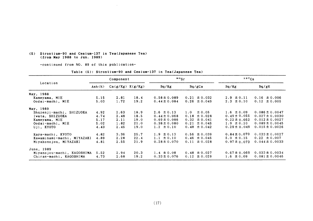#### (5) Strontium-90 and Cesium-137 in Tea(Japanese Tea) (from May 1988 to Jun. 1989)

一COntinued from NO.89 0f this publication-

|                            | Component         |                      |      | $\frac{80}{s}$   |                  | 137C <sub>S</sub> |                    |  |
|----------------------------|-------------------|----------------------|------|------------------|------------------|-------------------|--------------------|--|
| Location                   | $\mathsf{Ash}(x)$ | $Ca(g/Kg)$ $K(g/Kg)$ |      | Bq/Kg            | Bq/gCa           | Bq/Kg             | Bq/gK              |  |
| May, 1988                  |                   |                      |      |                  |                  |                   |                    |  |
| Kameyama, MIE              | 5.15              | 2.81                 | 18.4 | $0.58 \pm 0.089$ | $0.21 \pm 0.032$ | $2.9 \pm 0.11$    | $0.16 \pm 0.006$   |  |
| Oodai-machi, MIE           | 5.03              | 1.72                 | 19.2 | $0.44 \pm 0.084$ | $0.26 \pm 0.049$ | $2.3 \pm 0.10$    | $0.12 \pm 0.005$   |  |
| May, 1989                  |                   |                      |      |                  |                  |                   |                    |  |
| Shuzenji-machi, SHIZUOKA   | 4.92              | 2.63                 | 18.9 | $2.6 \pm 0.13$   | $1.0 \pm 0.05$   | $1.6 \pm 0.09$    | $0.086 \pm 0.0047$ |  |
| Iwata, SHIZUOKA            | 4.74              | 2.48                 | 18.5 | $0.44 \pm 0.068$ | $0.18 \pm 0.028$ | $0.49 \pm 0.055$  | $0.027 \pm 0.0030$ |  |
| Kameyama, MIE              | 5.17              | 2.11                 | 19.0 | $0.69 \pm 0.086$ | $0.32 \pm 0.041$ | $0.22 \pm 0.052$  | $0.012 \pm 0.0027$ |  |
| Oodai-machi, MIE           | 5.02              | 1.82                 | 21.0 | $0.38 \pm 0.080$ | $0.21 \pm 0.045$ | $1.9 \pm 0.10$    | $0.089 \pm 0.0045$ |  |
| Uji, KYOTO                 | 4.43              | 2.45                 | 19.0 | $1.2 \pm 0.10$   | $0.48 \pm 0.042$ | $0.29 \pm 0.049$  | $0.015 \pm 0.0026$ |  |
| Kaya-machi, KYOTO          | 4.82              | 3.36                 | 25.7 | $1.9 \pm 0.13$   | $0.56 \pm 0.039$ | $0.84 \pm 0.070$  | $0.033 \pm 0.0027$ |  |
| Kawaminami-machi, MIYAZAKI | 4.89              | 2.28                 | 22.4 | $1.1 \pm 0.10$   | $0.46 \pm 0.045$ | $5.0 \pm 0.15$    | $0.22 \pm 0.007$   |  |
| Miyakonojou, MIYAZAKI      | 4.81              | 2.55                 | 21.9 | $0.28 \pm 0.070$ | $0.11 \pm 0.028$ | $0.97 \pm 0.073$  | $0.044 \pm 0.0033$ |  |
| June, 1989                 |                   |                      |      |                  |                  |                   |                    |  |
| Miyanojou-machi, KAGOSHIMA | 5.52              | 2.94                 | 20.3 | $1.4 \pm 0.08$   | $0.48 \pm 0.027$ | $0.67 \pm 0.069$  | $0.033 \pm 0.0034$ |  |
| Chiran-machi, KAGOSHIMA    | 4.73              | 2.68                 | 19.2 | $0.33 \pm 0.076$ | $0.12 \pm 0.029$ | $1.6 \pm 0.09$    | $0.081 \pm 0.0046$ |  |

#### Table (5): Strontium-90 and Cesium-137 in Tea(Japanese Tea)

 $\sim 10^{-7}$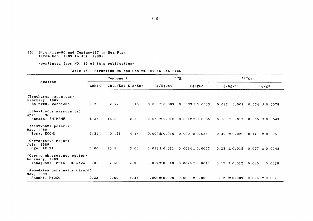#### (6) Strontium-90 8nd Cesium-137in Sea Fi8h (fron Feb.1989 to Jul.1989)

-COntinued from NO.89 0f this publication-

|  | Table (6): Strontium-90 and Cesium-137 in Sea Fish |  |  |  |
|--|----------------------------------------------------|--|--|--|
|  |                                                    |  |  |  |

|                                               | Component |                      |      |                   | $\cdot$ osr         |                   | 137Cs              |
|-----------------------------------------------|-----------|----------------------|------|-------------------|---------------------|-------------------|--------------------|
| Location                                      | Ash(X)    | $Ca(g/Kg)$ $K(g/Kg)$ |      | Bq/Kgwet          | Bq/gCa              | Bq/Kgwet          | Bq/gK              |
| (Trachurus japonicus)                         |           |                      |      |                   |                     |                   |                    |
| February, 1989<br>Shinguu, WAKAYAMA           | 1.23      | 2.77                 | 1.18 | $0.009 \pm 0.009$ | $0.0033 \pm 0.0033$ | $0.087 \pm 0.009$ | $0.074 \pm 0.0079$ |
|                                               |           |                      |      |                   |                     |                   |                    |
| (Sebastiscus marmoratus)<br>April, 1989       |           |                      |      |                   |                     |                   |                    |
| Hamada, SHIMANE                               | 5.32      | 16.3                 | 2.53 | $0.020 \pm 0.010$ | $0.0012 \pm 0.0006$ | $0.16 \pm 0.012$  | $0.065 \pm 0.0049$ |
| (Katsuwonus pelamis)<br>May, 1989             |           |                      |      |                   |                     |                   |                    |
| Tosa, KOCHI                                   | 1.31      | 0.176                | 4.44 | $0.000 \pm 0.010$ | $0.000 \pm 0.056$   | $0.49 \pm 0.020$  | 0.11<br>± 0.005    |
| (Chrysophrys major)<br>July, 1989             |           |                      |      |                   |                     |                   |                    |
| Oga, AKITA                                    | 6.00      | 15.5                 | 3.00 | $0.053 \pm 0.011$ | $0.0034 \pm 0.0007$ | ± 0.015<br>0.23   | 0.077<br>± 0.0048  |
| (Caesio chrysozonus cuvier)<br>February, 1989 |           |                      |      |                   |                     |                   |                    |
| Yonagusuku-mura, OKINAWA 3.31                 |           | 7.56                 | 4.33 | $0.019 \pm 0.010$ | $0.0025 \pm 0.0013$ | $0.17 \pm 0.012$  | $0.040 \pm 0.0028$ |
| (Ammodytes personatus Girard)<br>May, 1989    |           |                      |      |                   |                     |                   |                    |
| Akashi, HYOGO                                 | 2.23      | 2.69                 | 4.46 | $0.000 \pm 0.008$ | $0.000 \pm 0.003$   | $0.12 \pm 0.009$  | $0.026 \pm 0.0021$ |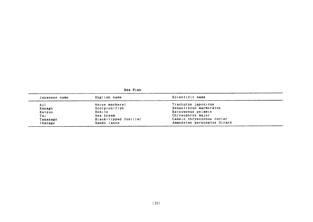| Japanese name | English name          | Scientific name             |  |  |  |  |
|---------------|-----------------------|-----------------------------|--|--|--|--|
| Aji           | Horse mackerel        | Trachurus japonicus         |  |  |  |  |
| Kasago        | Scorpion-fish         | Sebastiscus marmoratus      |  |  |  |  |
| Katsuo        | Bonito                | Katsuwonus pelamis          |  |  |  |  |
| Tai           | Sea bream             | Chrysophrys major           |  |  |  |  |
| Takasago      | Black-tipped fusilier | Caesio chrysozonus cuvier   |  |  |  |  |
| Ikanago       | Sando lance           | Ammodytes personatus Girard |  |  |  |  |

Sea Fish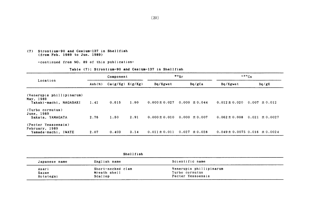(7) Strontium-90 and Cesium-137 in Shellfish (from Feb.1989 to Jun.1989)

-continued from NO. 89 of this publication-

| Table (7): Strontium-90 and Cesium-137 in Shellfish |  |  |  |
|-----------------------------------------------------|--|--|--|
|                                                     |  |  |  |

| Location                                                         | Component                  |                      |      |                   | $\mathbf{e} \circ \mathbf{S} \cdot$ | 137C <sub>S</sub> |                                       |  |
|------------------------------------------------------------------|----------------------------|----------------------|------|-------------------|-------------------------------------|-------------------|---------------------------------------|--|
|                                                                  | $\mathsf{Ash}(\mathsf{X})$ | $Ca(g/Kg)$ $K(g/Kg)$ |      | Bq/Kgwet          | Bq/gCa                              | Bq/Kgwet          | Bq/gK                                 |  |
| (Venerupis phillipinarum)<br>May, 1989<br>Takaki-machi, NAGASAKI | 1.41                       | 0.615                | 1.60 | $0.000 \pm 0.027$ | $0.000 \pm 0.044$                   | $0.012 \pm 0.020$ | $0.007 \pm 0.012$                     |  |
| (Turbo cornutus)<br>June, 1989<br>Sakata, YAMAGATA               | 2.76                       | 1.50                 | 2.91 | $0.000 \pm 0.010$ | $0.000 \pm 0.007$                   | $0.062 \pm 0.008$ | $0.021 \pm 0.0027$                    |  |
| (Pecter Yessoensis)<br>February, 1989<br>Yamada-machi, IWATE     | 2.07                       | 0.403                | 3.14 | $0.011 \pm 0.011$ | $\pm 0.028$<br>0.027                |                   | $0.049 \pm 0.0075$ 0.016 $\pm 0.0024$ |  |

|  |  | Shellfish |
|--|--|-----------|
|  |  |           |

| Japanese name | English name      | Scientific name         |  |  |
|---------------|-------------------|-------------------------|--|--|
| Asari         | Short-necked clam | Venerupis phillipinarum |  |  |
| Sazae         | Wreath shell      | Turbo cornutus          |  |  |
| Hotategai     | Scallop           | Pecter Yessoensis       |  |  |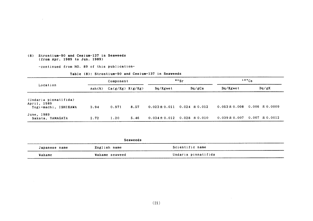#### (8) Strontium-90 and Cesium-137 in Seaweeds (from Apr.1989 toJⅦn.1989)

 $\sim$   $\sim$ 

-continued from NO. 89 of this publication-

|                                                              | Component |                      | $\frac{80}{5}$ |                   | $137C_S$          |                   |                    |
|--------------------------------------------------------------|-----------|----------------------|----------------|-------------------|-------------------|-------------------|--------------------|
| Location                                                     | Ash(x)    | $Ca(g/Kg)$ $K(g/Kg)$ |                | Bq/Kgwet          | Bq/gCa            | Bq/Kgwet          | Bq/gK              |
| (Undaria pinnatifida)<br>April, 1989<br>Togi-machi, ISHIKAWA | 3.94      | 0.971                | 8.57           | $0.023 \pm 0.011$ | $0.024 \pm 0.012$ | $0.053 \pm 0.008$ | $0.006 \pm 0.0009$ |
| June, 1989<br>Sakata, YAMAGATA                               | 2.72      | 1.20                 | 5.46           | $0.034 \pm 0.012$ | $0.028 \pm 0.010$ | $0.039 \pm 0.007$ | $0.007 \pm 0.0012$ |

#### Table (8): Strontium-90 and Cesium-137 in Seaweeds

| Seaweeds      |                |                     |  |
|---------------|----------------|---------------------|--|
| Japanese name | English name   | Scientific name     |  |
| Wakame        | Wakame seaweed | Undaria pinnatifida |  |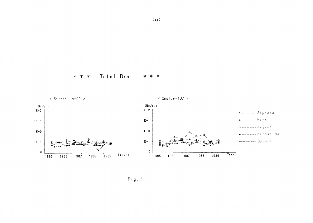Total Diet \* \* \* \* \* \*



 $\le$  Cesium-137 >



 $Fig. 1$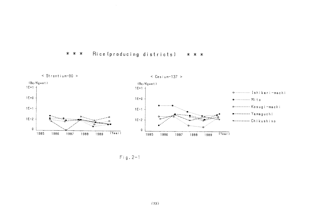#### Rice (producing districts)  $* * *$  $* * *$

 $\sim 10^7$ 



 $Fig. 2-1$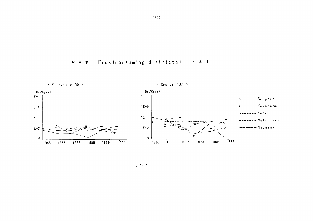Rice (consuming districts) \* \* \*  $* * *$ 



 $\le$  Cesium-137 >



 $Fig. 2-2$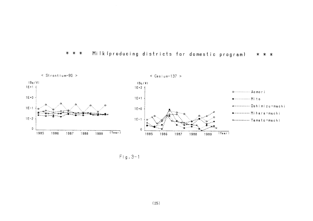



 $Fig. 3-1$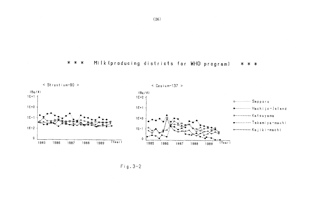Milk (producing districts for WHO program) \* \* \* \* \* \*



 $Fig. 3-2$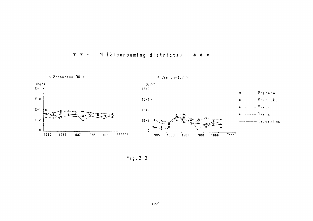### \* \* \* Milk【consuming districts) \* \* \*



Fi9.3-3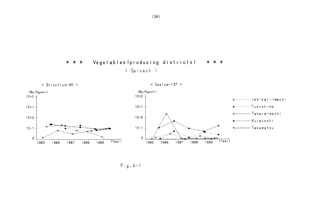









 $Fig. 4-1$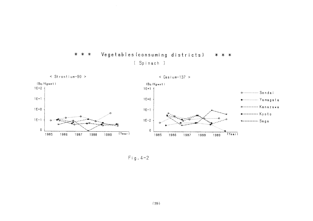

Vegetables (consuming districts)  $* * *$  $* * *$ [ Spinach ]

 $Fig. 4-2$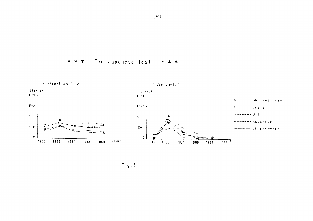Tea (Japanese Tea) \* \* \* \* \* \*



 $Fig. 5$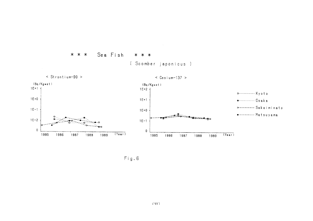Sea Fish \* \* \* \* \* \*

[ Scomber japonicus ]

 $\sim$ 



Fig.6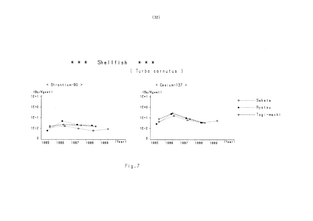







 $Fig.7$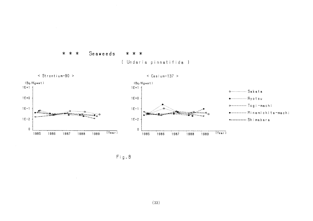





 $Fig. 8$